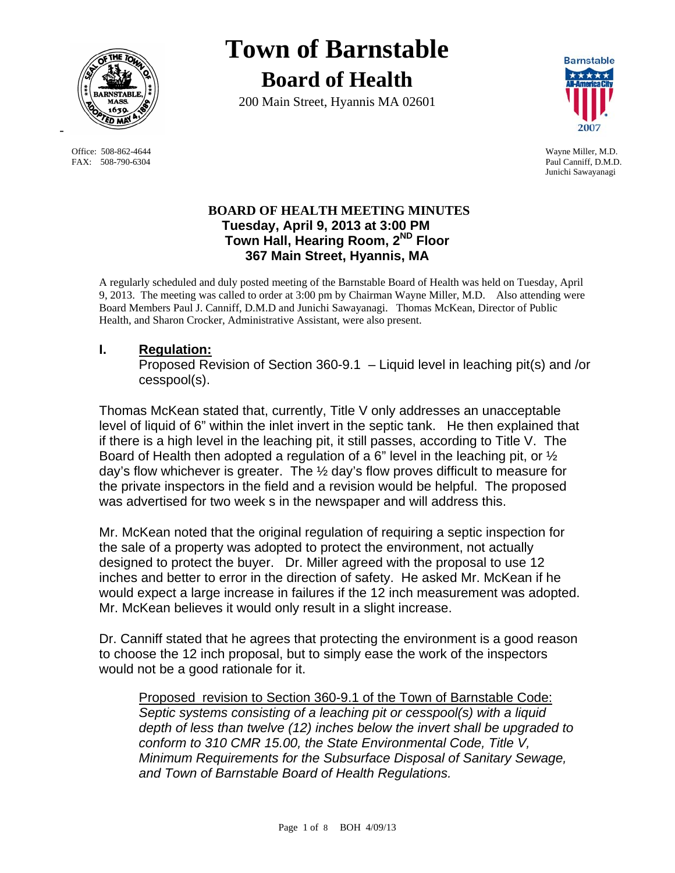

FAX: 508-790-6304 Paul Canniff, D.M.D.

# **Town of Barnstable Board of Health**

200 Main Street, Hyannis MA 02601



 Office: 508-862-4644 Wayne Miller, M.D. Junichi Sawayanagi

# **BOARD OF HEALTH MEETING MINUTES Tuesday, April 9, 2013 at 3:00 PM Town Hall, Hearing Room, 2ND Floor 367 Main Street, Hyannis, MA**

A regularly scheduled and duly posted meeting of the Barnstable Board of Health was held on Tuesday, April 9, 2013. The meeting was called to order at 3:00 pm by Chairman Wayne Miller, M.D. Also attending were Board Members Paul J. Canniff, D.M.D and Junichi Sawayanagi. Thomas McKean, Director of Public Health, and Sharon Crocker, Administrative Assistant, were also present.

# **I. Regulation:**

Proposed Revision of Section 360-9.1 – Liquid level in leaching pit(s) and /or cesspool(s).

Thomas McKean stated that, currently, Title V only addresses an unacceptable level of liquid of 6" within the inlet invert in the septic tank. He then explained that if there is a high level in the leaching pit, it still passes, according to Title V. The Board of Health then adopted a regulation of a 6" level in the leaching pit, or  $\frac{1}{2}$ day's flow whichever is greater. The ½ day's flow proves difficult to measure for the private inspectors in the field and a revision would be helpful. The proposed was advertised for two week s in the newspaper and will address this.

Mr. McKean noted that the original regulation of requiring a septic inspection for the sale of a property was adopted to protect the environment, not actually designed to protect the buyer. Dr. Miller agreed with the proposal to use 12 inches and better to error in the direction of safety. He asked Mr. McKean if he would expect a large increase in failures if the 12 inch measurement was adopted. Mr. McKean believes it would only result in a slight increase.

Dr. Canniff stated that he agrees that protecting the environment is a good reason to choose the 12 inch proposal, but to simply ease the work of the inspectors would not be a good rationale for it.

 Proposed revision to Section 360-9.1 of the Town of Barnstable Code: *Septic systems consisting of a leaching pit or cesspool(s) with a liquid depth of less than twelve (12) inches below the invert shall be upgraded to conform to 310 CMR 15.00, the State Environmental Code, Title V, Minimum Requirements for the Subsurface Disposal of Sanitary Sewage, and Town of Barnstable Board of Health Regulations.*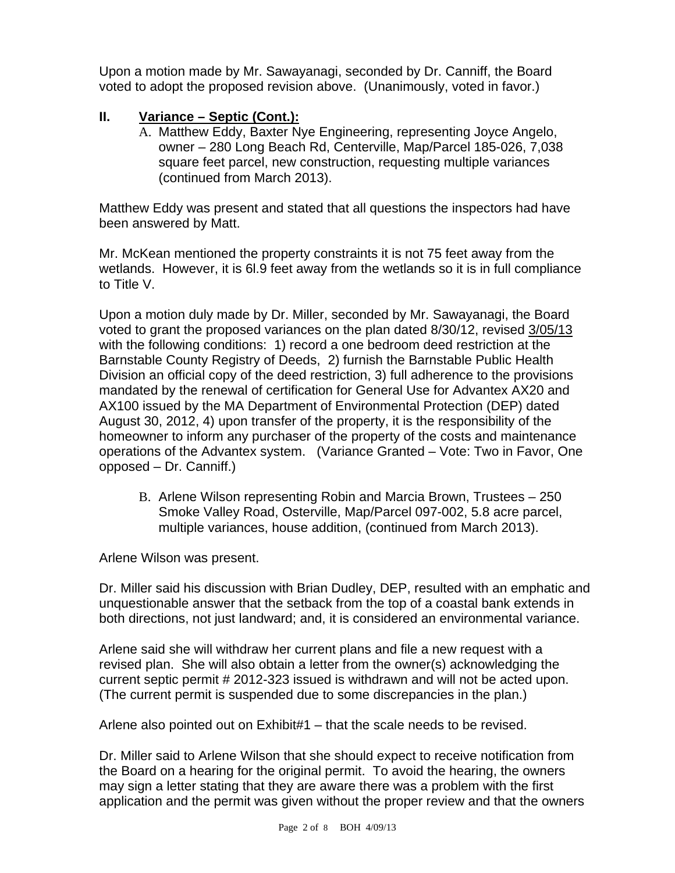Upon a motion made by Mr. Sawayanagi, seconded by Dr. Canniff, the Board voted to adopt the proposed revision above. (Unanimously, voted in favor.)

# **II. Variance – Septic (Cont.):**

A. Matthew Eddy, Baxter Nye Engineering, representing Joyce Angelo, owner – 280 Long Beach Rd, Centerville, Map/Parcel 185-026, 7,038 square feet parcel, new construction, requesting multiple variances (continued from March 2013).

Matthew Eddy was present and stated that all questions the inspectors had have been answered by Matt.

Mr. McKean mentioned the property constraints it is not 75 feet away from the wetlands. However, it is 6l.9 feet away from the wetlands so it is in full compliance to Title V.

Upon a motion duly made by Dr. Miller, seconded by Mr. Sawayanagi, the Board voted to grant the proposed variances on the plan dated 8/30/12, revised 3/05/13 with the following conditions: 1) record a one bedroom deed restriction at the Barnstable County Registry of Deeds, 2) furnish the Barnstable Public Health Division an official copy of the deed restriction, 3) full adherence to the provisions mandated by the renewal of certification for General Use for Advantex AX20 and AX100 issued by the MA Department of Environmental Protection (DEP) dated August 30, 2012, 4) upon transfer of the property, it is the responsibility of the homeowner to inform any purchaser of the property of the costs and maintenance operations of the Advantex system. (Variance Granted – Vote: Two in Favor, One opposed – Dr. Canniff.)

B. Arlene Wilson representing Robin and Marcia Brown, Trustees – 250 Smoke Valley Road, Osterville, Map/Parcel 097-002, 5.8 acre parcel, multiple variances, house addition, (continued from March 2013).

Arlene Wilson was present.

Dr. Miller said his discussion with Brian Dudley, DEP, resulted with an emphatic and unquestionable answer that the setback from the top of a coastal bank extends in both directions, not just landward; and, it is considered an environmental variance.

Arlene said she will withdraw her current plans and file a new request with a revised plan. She will also obtain a letter from the owner(s) acknowledging the current septic permit # 2012-323 issued is withdrawn and will not be acted upon. (The current permit is suspended due to some discrepancies in the plan.)

Arlene also pointed out on Exhibit#1 – that the scale needs to be revised.

Dr. Miller said to Arlene Wilson that she should expect to receive notification from the Board on a hearing for the original permit. To avoid the hearing, the owners may sign a letter stating that they are aware there was a problem with the first application and the permit was given without the proper review and that the owners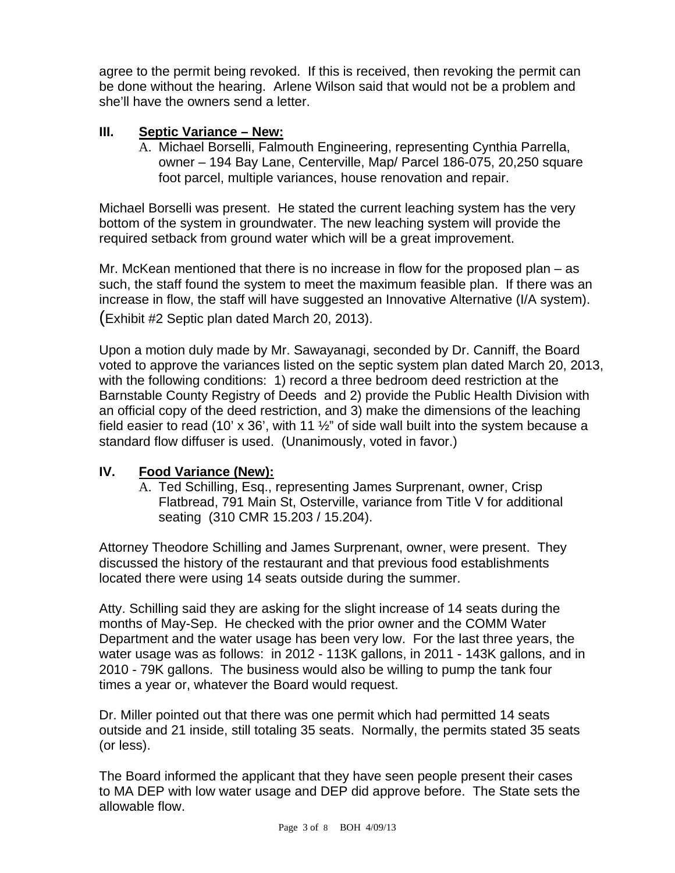agree to the permit being revoked. If this is received, then revoking the permit can be done without the hearing. Arlene Wilson said that would not be a problem and she'll have the owners send a letter.

# **III. Septic Variance – New:**

A. Michael Borselli, Falmouth Engineering, representing Cynthia Parrella, owner – 194 Bay Lane, Centerville, Map/ Parcel 186-075, 20,250 square foot parcel, multiple variances, house renovation and repair.

Michael Borselli was present. He stated the current leaching system has the very bottom of the system in groundwater. The new leaching system will provide the required setback from ground water which will be a great improvement.

Mr. McKean mentioned that there is no increase in flow for the proposed plan – as such, the staff found the system to meet the maximum feasible plan. If there was an increase in flow, the staff will have suggested an Innovative Alternative (I/A system). (Exhibit #2 Septic plan dated March 20, 2013).

Upon a motion duly made by Mr. Sawayanagi, seconded by Dr. Canniff, the Board voted to approve the variances listed on the septic system plan dated March 20, 2013, with the following conditions: 1) record a three bedroom deed restriction at the Barnstable County Registry of Deeds and 2) provide the Public Health Division with an official copy of the deed restriction, and 3) make the dimensions of the leaching field easier to read (10' x 36', with 11  $\frac{1}{2}$ " of side wall built into the system because a standard flow diffuser is used. (Unanimously, voted in favor.)

## **IV. Food Variance (New):**

A. Ted Schilling, Esq., representing James Surprenant, owner, Crisp Flatbread, 791 Main St, Osterville, variance from Title V for additional seating (310 CMR 15.203 / 15.204).

Attorney Theodore Schilling and James Surprenant, owner, were present. They discussed the history of the restaurant and that previous food establishments located there were using 14 seats outside during the summer.

Atty. Schilling said they are asking for the slight increase of 14 seats during the months of May-Sep. He checked with the prior owner and the COMM Water Department and the water usage has been very low. For the last three years, the water usage was as follows: in 2012 - 113K gallons, in 2011 - 143K gallons, and in 2010 - 79K gallons. The business would also be willing to pump the tank four times a year or, whatever the Board would request.

Dr. Miller pointed out that there was one permit which had permitted 14 seats outside and 21 inside, still totaling 35 seats. Normally, the permits stated 35 seats (or less).

The Board informed the applicant that they have seen people present their cases to MA DEP with low water usage and DEP did approve before. The State sets the allowable flow.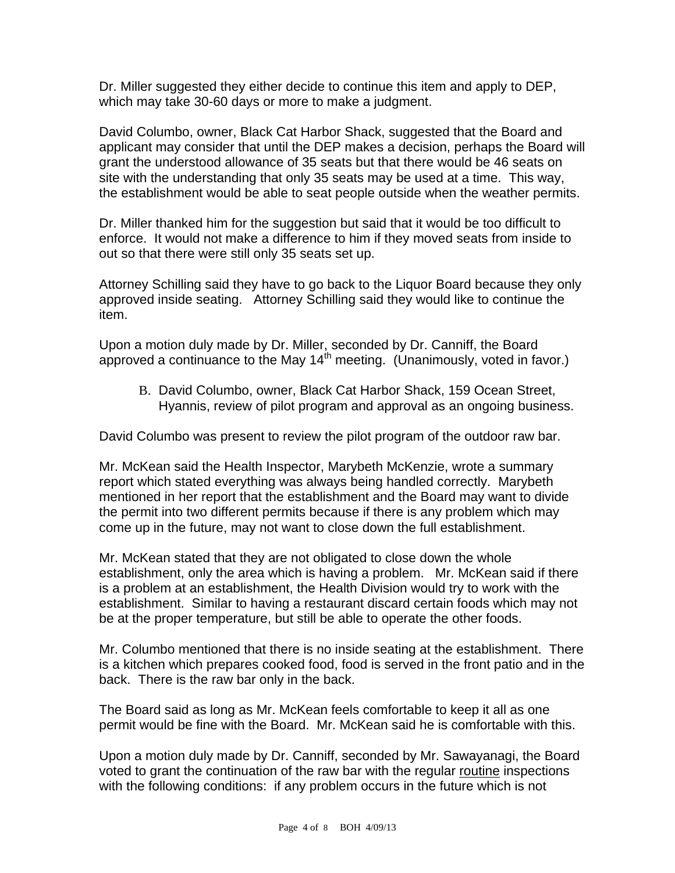Dr. Miller suggested they either decide to continue this item and apply to DEP, which may take 30-60 days or more to make a judgment.

David Columbo, owner, Black Cat Harbor Shack, suggested that the Board and applicant may consider that until the DEP makes a decision, perhaps the Board will grant the understood allowance of 35 seats but that there would be 46 seats on site with the understanding that only 35 seats may be used at a time. This way, the establishment would be able to seat people outside when the weather permits.

Dr. Miller thanked him for the suggestion but said that it would be too difficult to enforce. It would not make a difference to him if they moved seats from inside to out so that there were still only 35 seats set up.

Attorney Schilling said they have to go back to the Liquor Board because they only approved inside seating. Attorney Schilling said they would like to continue the item.

Upon a motion duly made by Dr. Miller, seconded by Dr. Canniff, the Board approved a continuance to the May  $14<sup>th</sup>$  meeting. (Unanimously, voted in favor.)

B. David Columbo, owner, Black Cat Harbor Shack, 159 Ocean Street, Hyannis, review of pilot program and approval as an ongoing business.

David Columbo was present to review the pilot program of the outdoor raw bar.

Mr. McKean said the Health Inspector, Marybeth McKenzie, wrote a summary report which stated everything was always being handled correctly. Marybeth mentioned in her report that the establishment and the Board may want to divide the permit into two different permits because if there is any problem which may come up in the future, may not want to close down the full establishment.

Mr. McKean stated that they are not obligated to close down the whole establishment, only the area which is having a problem. Mr. McKean said if there is a problem at an establishment, the Health Division would try to work with the establishment. Similar to having a restaurant discard certain foods which may not be at the proper temperature, but still be able to operate the other foods.

Mr. Columbo mentioned that there is no inside seating at the establishment. There is a kitchen which prepares cooked food, food is served in the front patio and in the back. There is the raw bar only in the back.

The Board said as long as Mr. McKean feels comfortable to keep it all as one permit would be fine with the Board. Mr. McKean said he is comfortable with this.

Upon a motion duly made by Dr. Canniff, seconded by Mr. Sawayanagi, the Board voted to grant the continuation of the raw bar with the regular routine inspections with the following conditions: if any problem occurs in the future which is not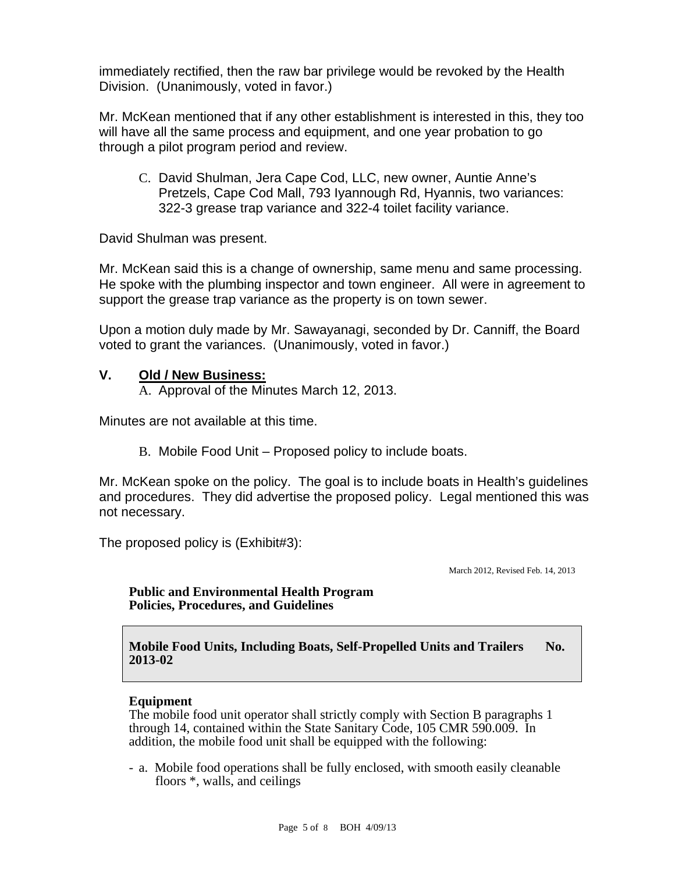immediately rectified, then the raw bar privilege would be revoked by the Health Division. (Unanimously, voted in favor.)

Mr. McKean mentioned that if any other establishment is interested in this, they too will have all the same process and equipment, and one year probation to go through a pilot program period and review.

C. David Shulman, Jera Cape Cod, LLC, new owner, Auntie Anne's Pretzels, Cape Cod Mall, 793 Iyannough Rd, Hyannis, two variances: 322-3 grease trap variance and 322-4 toilet facility variance.

David Shulman was present.

Mr. McKean said this is a change of ownership, same menu and same processing. He spoke with the plumbing inspector and town engineer. All were in agreement to support the grease trap variance as the property is on town sewer.

Upon a motion duly made by Mr. Sawayanagi, seconded by Dr. Canniff, the Board voted to grant the variances. (Unanimously, voted in favor.)

### **V. Old / New Business:**

A. Approval of the Minutes March 12, 2013.

Minutes are not available at this time.

B. Mobile Food Unit – Proposed policy to include boats.

Mr. McKean spoke on the policy. The goal is to include boats in Health's guidelines and procedures. They did advertise the proposed policy. Legal mentioned this was not necessary.

The proposed policy is (Exhibit#3):

March 2012, Revised Feb. 14, 2013

#### **Public and Environmental Health Program Policies, Procedures, and Guidelines**

**Mobile Food Units, Including Boats, Self-Propelled Units and Trailers No. 2013-02**

#### **Equipment**

The mobile food unit operator shall strictly comply with Section B paragraphs 1 through 14, contained within the State Sanitary Code, 105 CMR 590.009. In addition, the mobile food unit shall be equipped with the following:

- a. Mobile food operations shall be fully enclosed, with smooth easily cleanable floors \*, walls, and ceilings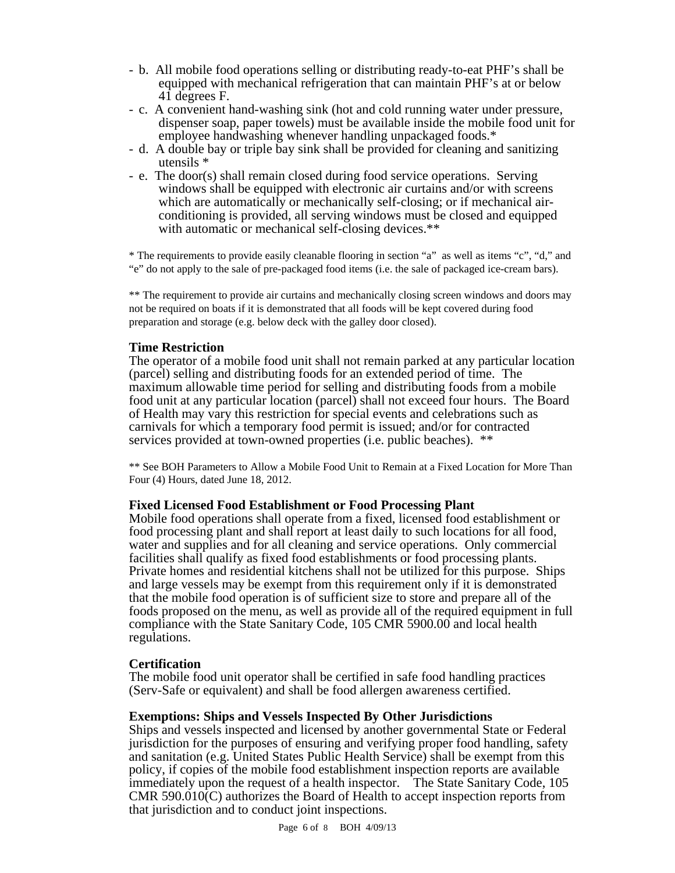- b. All mobile food operations selling or distributing ready-to-eat PHF's shall be equipped with mechanical refrigeration that can maintain PHF's at or below 41 degrees F.<br>- c. A convenient hand-washing sink (hot and cold running water under pressure,
- dispenser soap, paper towels) must be available inside the mobile food unit for
- employee handwashing whenever handling unpackaged foods.\*<br>- d. A double bay or triple bay sink shall be provided for cleaning and sanitizing utensils \* - e. The door(s) shall remain closed during food service operations. Serving
- windows shall be equipped with electronic air curtains and/or with screens which are automatically or mechanically self-closing; or if mechanical airconditioning is provided, all serving windows must be closed and equipped with automatic or mechanical self-closing devices.\*\*

\* The requirements to provide easily cleanable flooring in section "a" as well as items "c", "d," and "e" do not apply to the sale of pre-packaged food items (i.e. the sale of packaged ice-cream bars).

\*\* The requirement to provide air curtains and mechanically closing screen windows and doors may not be required on boats if it is demonstrated that all foods will be kept covered during food preparation and storage (e.g. below deck with the galley door closed).

**Time Restriction**<br>The operator of a mobile food unit shall not remain parked at any particular location (parcel) selling and distributing foods for an extended period of time. The maximum allowable time period for selling and distributing foods from a mobile food unit at any particular location (parcel) shall not exceed four hours. The Board of Health may vary this restriction for special events and celebrations such as carnivals for which a temporary food permit is issued; and/or for contracted services provided at town-owned properties (i.e. public beaches). \*\*

\*\* See BOH Parameters to Allow a Mobile Food Unit to Remain at a Fixed Location for More Than Four (4) Hours, dated June 18, 2012.

#### **Fixed Licensed Food Establishment or Food Processing Plant**

Mobile food operations shall operate from a fixed, licensed food establishment or food processing plant and shall report at least daily to such locations for all food, water and supplies and for all cleaning and service operations. Only commercial facilities shall qualify as fixed food establishments or food processing plants. Private homes and residential kitchens shall not be utilized for this purpose. Ships and large vessels may be exempt from this requirement only if it is demonstrated that the mobile food operation is of sufficient size to store and prepare all of the foods proposed on the menu, as well as provide all of the required equipment in full compliance with the State Sanitary Code, 105 CMR 5900.00 and local health regulations.

#### **Certification**

The mobile food unit operator shall be certified in safe food handling practices (Serv-Safe or equivalent) and shall be food allergen awareness certified.

#### **Exemptions: Ships and Vessels Inspected By Other Jurisdictions**

Ships and vessels inspected and licensed by another governmental State or Federal jurisdiction for the purposes of ensuring and verifying proper food handling, safety and sanitation (e.g. United States Public Health Service) shall be exempt from this policy, if copies of the mobile food establishment inspection reports are available immediately upon the request of a health inspector. The State Sanitary Code, 105 CMR  $590.010(C)$  authorizes the Board of Health to accept inspection reports from that jurisdiction and to conduct joint inspections.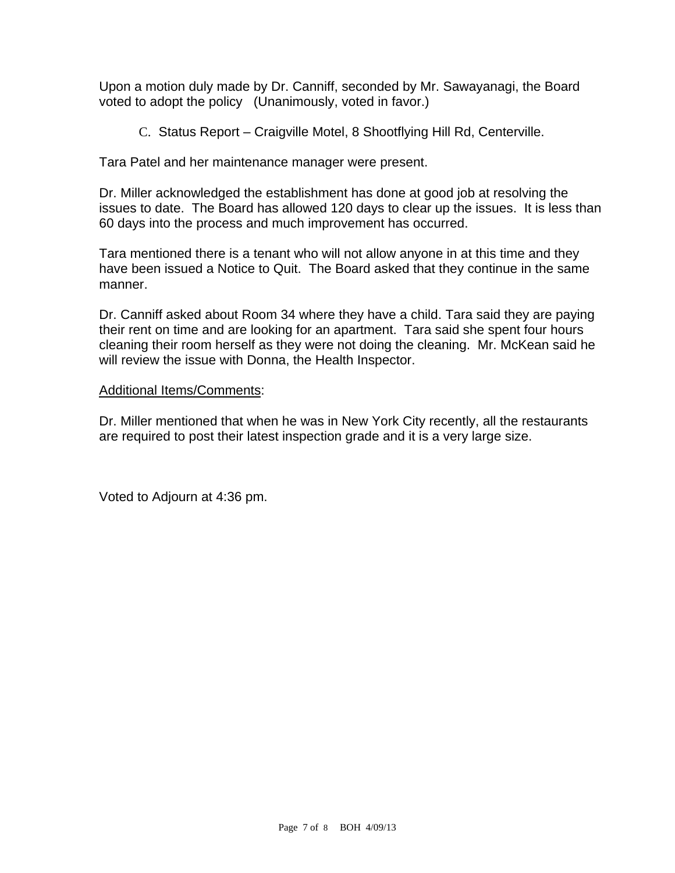Upon a motion duly made by Dr. Canniff, seconded by Mr. Sawayanagi, the Board voted to adopt the policy (Unanimously, voted in favor.)

C. Status Report – Craigville Motel, 8 Shootflying Hill Rd, Centerville.

Tara Patel and her maintenance manager were present.

Dr. Miller acknowledged the establishment has done at good job at resolving the issues to date. The Board has allowed 120 days to clear up the issues. It is less than 60 days into the process and much improvement has occurred.

Tara mentioned there is a tenant who will not allow anyone in at this time and they have been issued a Notice to Quit. The Board asked that they continue in the same manner.

Dr. Canniff asked about Room 34 where they have a child. Tara said they are paying their rent on time and are looking for an apartment. Tara said she spent four hours cleaning their room herself as they were not doing the cleaning. Mr. McKean said he will review the issue with Donna, the Health Inspector.

#### Additional Items/Comments:

Dr. Miller mentioned that when he was in New York City recently, all the restaurants are required to post their latest inspection grade and it is a very large size.

Voted to Adjourn at 4:36 pm.